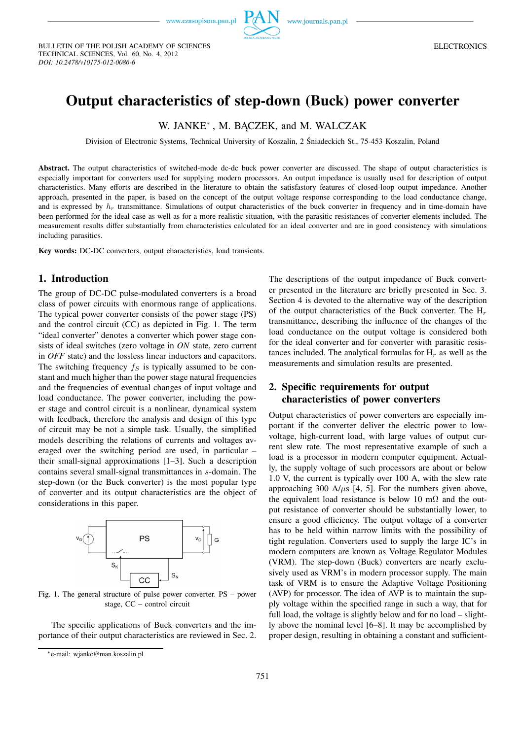

TECHNICAL SCIENCES, Vol. 60, No. 4, 2012 *DOI: 10.2478/v10175-012-0086-6*

BULLETIN OF THE POLISH ACADEMY OF SCIENCES

# **Output characteristics of step-down (Buck) power converter**

W. JANKE<sup>∗</sup> , M. BĄCZEK, and M. WALCZAK

Division of Electronic Systems, Technical University of Koszalin, 2 Śniadeckich St., 75-453 Koszalin, Poland

**Abstract.** The output characteristics of switched-mode dc-dc buck power converter are discussed. The shape of output characteristics is especially important for converters used for supplying modern processors. An output impedance is usually used for description of output characteristics. Many efforts are described in the literature to obtain the satisfastory features of closed-loop output impedance. Another approach, presented in the paper, is based on the concept of the output voltage response corresponding to the load conductance change, and is expressed by  $h_r$  transmittance. Simulations of output characteristics of the buck converter in frequency and in time-domain have been performed for the ideal case as well as for a more realistic situation, with the parasitic resistances of converter elements included. The measurement results differ substantially from characteristics calculated for an ideal converter and are in good consistency with simulations including parasitics.

**Key words:** DC-DC converters, output characteristics, load transients.

#### **1. Introduction**

The group of DC-DC pulse-modulated converters is a broad class of power circuits with enormous range of applications. The typical power converter consists of the power stage (PS) and the control circuit (CC) as depicted in Fig. 1. The term "ideal converter" denotes a converter which power stage consists of ideal switches (zero voltage in *ON* state, zero current in *OFF* state) and the lossless linear inductors and capacitors. The switching frequency  $f<sub>S</sub>$  is typically assumed to be constant and much higher than the power stage natural frequencies and the frequencies of eventual changes of input voltage and load conductance. The power converter, including the power stage and control circuit is a nonlinear, dynamical system with feedback, therefore the analysis and design of this type of circuit may be not a simple task. Usually, the simplified models describing the relations of currents and voltages averaged over the switching period are used, in particular – their small-signal approximations [1–3]. Such a description contains several small-signal transmittances in s-domain. The step-down (or the Buck converter) is the most popular type of converter and its output characteristics are the object of considerations in this paper.



Fig. 1. The general structure of pulse power converter. PS – power stage, CC – control circuit

The specific applications of Buck converters and the importance of their output characteristics are reviewed in Sec. 2. The descriptions of the output impedance of Buck converter presented in the literature are briefly presented in Sec. 3. Section 4 is devoted to the alternative way of the description of the output characteristics of the Buck converter. The  $H_r$ transmittance, describing the influence of the changes of the load conductance on the output voltage is considered both for the ideal converter and for converter with parasitic resistances included. The analytical formulas for  $H_r$  as well as the measurements and simulation results are presented.

## **2. Specific requirements for output characteristics of power converters**

Output characteristics of power converters are especially important if the converter deliver the electric power to lowvoltage, high-current load, with large values of output current slew rate. The most representative example of such a load is a processor in modern computer equipment. Actually, the supply voltage of such processors are about or below 1.0 V, the current is typically over 100 A, with the slew rate approaching 300 A/ $\mu$ s [4, 5]. For the numbers given above, the equivalent load resistance is below 10 m $\Omega$  and the output resistance of converter should be substantially lower, to ensure a good efficiency. The output voltage of a converter has to be held within narrow limits with the possibility of tight regulation. Converters used to supply the large IC's in modern computers are known as Voltage Regulator Modules (VRM). The step-down (Buck) converters are nearly exclusively used as VRM's in modern processor supply. The main task of VRM is to ensure the Adaptive Voltage Positioning (AVP) for processor. The idea of AVP is to maintain the supply voltage within the specified range in such a way, that for full load, the voltage is slightly below and for no load – slightly above the nominal level [6–8]. It may be accomplished by proper design, resulting in obtaining a constant and sufficient-

<sup>∗</sup>e-mail: wjanke@man.koszalin.pl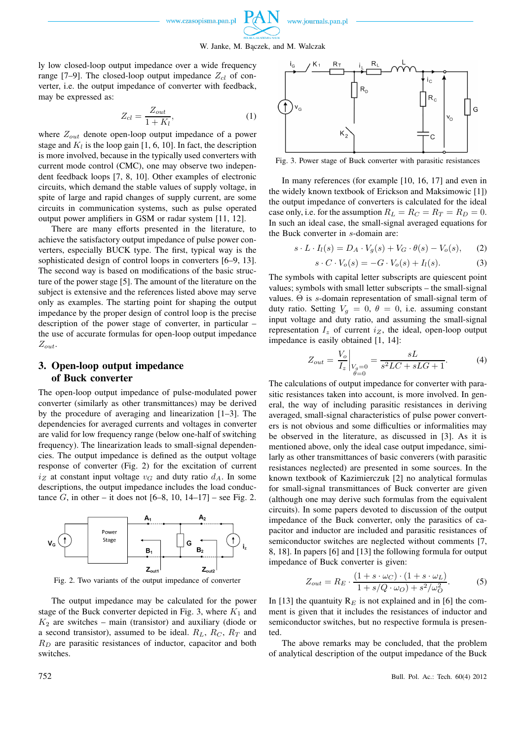

ly low closed-loop output impedance over a wide frequency range [7–9]. The closed-loop output impedance  $Z_{cl}$  of converter, i.e. the output impedance of converter with feedback, may be expressed as:

$$
Z_{cl} = \frac{Z_{out}}{1 + K_l},\tag{1}
$$

where  $Z_{out}$  denote open-loop output impedance of a power stage and  $K_l$  is the loop gain [1, 6, 10]. In fact, the description is more involved, because in the typically used converters with current mode control (CMC), one may observe two independent feedback loops [7, 8, 10]. Other examples of electronic circuits, which demand the stable values of supply voltage, in spite of large and rapid changes of supply current, are some circuits in communication systems, such as pulse operated output power amplifiers in GSM or radar system [11, 12].

There are many efforts presented in the literature, to achieve the satisfactory output impedance of pulse power converters, especially BUCK type. The first, typical way is the sophisticated design of control loops in converters [6–9, 13]. The second way is based on modifications of the basic structure of the power stage [5]. The amount of the literature on the subject is extensive and the references listed above may serve only as examples. The starting point for shaping the output impedance by the proper design of control loop is the precise description of the power stage of converter, in particular – the use of accurate formulas for open-loop output impedance  $Z_{out}.$ 

## **3. Open-loop output impedance of Buck converter**

The open-loop output impedance of pulse-modulated power converter (similarly as other transmittances) may be derived by the procedure of averaging and linearization [1–3]. The dependencies for averaged currents and voltages in converter are valid for low frequency range (below one-half of switching frequency). The linearization leads to small-signal dependencies. The output impedance is defined as the output voltage response of converter (Fig. 2) for the excitation of current  $i_Z$  at constant input voltage  $v_G$  and duty ratio  $d_A$ . In some descriptions, the output impedance includes the load conductance G, in other – it does not  $[6-8, 10, 14-17]$  – see Fig. 2.





The output impedance may be calculated for the power stage of the Buck converter depicted in Fig. 3, where  $K_1$  and  $K_2$  are switches – main (transistor) and auxiliary (diode or a second transistor), assumed to be ideal.  $R_L$ ,  $R_C$ ,  $R_T$  and  $R_D$  are parasitic resistances of inductor, capacitor and both switches.



Fig. 3. Power stage of Buck converter with parasitic resistances

In many references (for example [10, 16, 17] and even in the widely known textbook of Erickson and Maksimowic [1]) the output impedance of converters is calculated for the ideal case only, i.e. for the assumption  $R_L = R_C = R_T = R_D = 0$ . In such an ideal case, the small-signal averaged equations for the Buck converter in s-domain are:

$$
s \cdot L \cdot I_l(s) = D_A \cdot V_g(s) + V_G \cdot \theta(s) - V_o(s), \qquad (2)
$$

$$
s \cdot C \cdot V_o(s) = -G \cdot V_o(s) + I_l(s). \tag{3}
$$

The symbols with capital letter subscripts are quiescent point values; symbols with small letter subscripts – the small-signal values. Θ is s-domain representation of small-signal term of duty ratio. Setting  $V_g = 0$ ,  $\theta = 0$ , i.e. assuming constant input voltage and duty ratio, and assuming the small-signal representation  $I_z$  of current  $i_z$ , the ideal, open-loop output impedance is easily obtained [1, 14]:

$$
Z_{out} = \frac{V_o}{I_z}\Big|_{\substack{V_g = 0 \\ \theta = 0}} = \frac{sL}{s^2LC + sLG + 1}.
$$
 (4)

The calculations of output impedance for converter with parasitic resistances taken into account, is more involved. In general, the way of including parasitic resistances in deriving averaged, small-signal characteristics of pulse power converters is not obvious and some difficulties or informalities may be observed in the literature, as discussed in [3]. As it is mentioned above, only the ideal case output impedance, similarly as other transmittances of basic converers (with parasitic resistances neglected) are presented in some sources. In the known textbook of Kazimierczuk [2] no analytical formulas for small-signal transmittances of Buck converter are given (although one may derive such formulas from the equivalent circuits). In some papers devoted to discussion of the output impedance of the Buck converter, only the parasitics of capacitor and inductor are included and parasitic resistances of semiconductor switches are neglected without comments [7, 8, 18]. In papers [6] and [13] the following formula for output impedance of Buck converter is given:

$$
Z_{out} = R_E \cdot \frac{(1 + s \cdot \omega_C) \cdot (1 + s \cdot \omega_L)}{1 + s/Q \cdot \omega_O) + s^2/\omega_O^2}.
$$
 (5)

In [13] the quantuity  $R_E$  is not explained and in [6] the comment is given that it includes the resistances of inductor and semiconductor switches, but no respective formula is presented.

The above remarks may be concluded, that the problem of analytical description of the output impedance of the Buck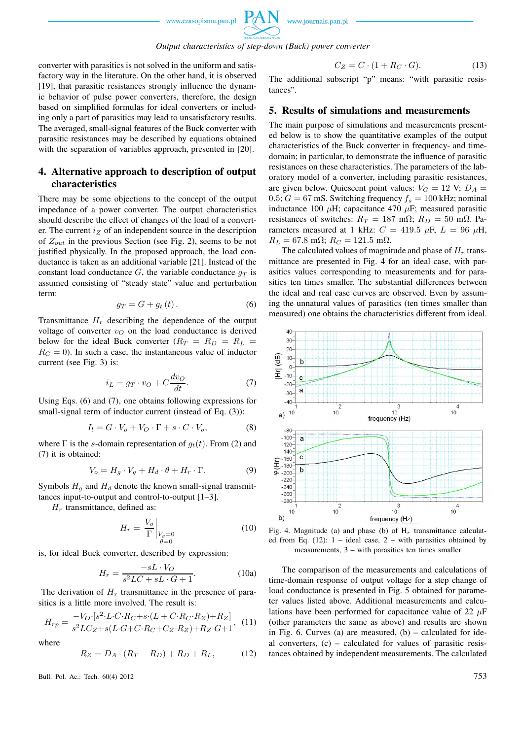

*Output characteristics of step-down (Buck) power converter*

converter with parasitics is not solved in the uniform and satisfactory way in the literature. On the other hand, it is observed [19], that parasitic resistances strongly influence the dynamic behavior of pulse power converters, therefore, the design based on simplified formulas for ideal converters or including only a part of parasitics may lead to unsatisfactory results. The averaged, small-signal features of the Buck converter with parasitic resistances may be described by equations obtained with the separation of variables approach, presented in [20].

### **4. Alternative approach to description of output characteristics**

There may be some objections to the concept of the output impedance of a power converter. The output characteristics should describe the effect of changes of the load of a converter. The current  $i_Z$  of an independent source in the description of  $Z_{out}$  in the previous Section (see Fig. 2), seems to be not justified physically. In the proposed approach, the load conductance is taken as an additional variable [21]. Instead of the constant load conductance  $G$ , the variable conductance  $g_T$  is assumed consisting of "steady state" value and perturbation term:

$$
g_T = G + g_t(t). \tag{6}
$$

Transmittance  $H_r$  describing the dependence of the output voltage of converter  $v<sub>O</sub>$  on the load conductance is derived below for the ideal Buck converter  $(R_T = R_D = R_L =$  $R_C = 0$ ). In such a case, the instantaneous value of inductor current (see Fig. 3) is:

$$
i_L = g_T \cdot v_O + C \frac{dv_O}{dt}.
$$
 (7)

Using Eqs. (6) and (7), one obtains following expressions for small-signal term of inductor current (instead of Eq. (3)):

$$
I_l = G \cdot V_o + V_O \cdot \Gamma + s \cdot C \cdot V_o, \tag{8}
$$

where  $\Gamma$  is the s-domain representation of  $g_t(t)$ . From (2) and (7) it is obtained:

$$
V_o = H_g \cdot V_g + H_d \cdot \theta + H_r \cdot \Gamma.
$$
 (9)

Symbols  $H_q$  and  $H_d$  denote the known small-signal transmittances input-to-output and control-to-output [1–3].

 $H_r$  transmittance, defined as:

$$
H_r = \left. \frac{V_o}{\Gamma} \right|_{\substack{V_g = 0 \\ \theta = 0}} \tag{10}
$$

is, for ideal Buck converter, described by expression:

$$
H_r = \frac{-sL \cdot V_O}{s^2 LC + sL \cdot G + 1}.
$$
 (10a)

The derivation of  $H_r$  transmittance in the presence of parasitics is a little more involved. The result is:

$$
H_{rp} = \frac{-V_O \cdot [s^2 \cdot L \cdot C \cdot R_C + s \cdot (L + C \cdot R_C \cdot R_Z) + R_Z]}{s^2 L C_Z + s (L \cdot G + C \cdot R_C + C_Z \cdot R_Z) + R_Z \cdot G + 1}, \tag{11}
$$

where

$$
R_Z = D_A \cdot (R_T - R_D) + R_D + R_L, \tag{12}
$$

Bull. Pol. Ac.: Tech. 60(4) 2012 753

$$
C_Z = C \cdot (1 + R_C \cdot G). \tag{13}
$$

The additional subscript "p" means: "with parasitic resistances".

#### **5. Results of simulations and measurements**

The main purpose of simulations and measurements presented below is to show the quantitative examples of the output characteristics of the Buck converter in frequency- and timedomain; in particular, to demonstrate the influence of parasitic resistances on these characteristics. The parameters of the laboratory model of a converter, including parasitic resistances, are given below. Quiescent point values:  $V_G = 12$  V;  $D_A =$ 0.5;  $G = 67$  mS. Switching frequency  $f_s = 100$  kHz; nominal inductance 100  $\mu$ H; capacitance 470  $\mu$ F; measured parasitic resistances of switches:  $R_T = 187$  m $\Omega$ ;  $R_D = 50$  m $\Omega$ . Parameters measured at 1 kHz:  $C = 419.5 \mu$ F,  $L = 96 \mu$ H,  $R_L = 67.8$  mΩ;  $R_C = 121.5$  mΩ.

The calculated values of magnitude and phase of  $H_r$  transmittance are presented in Fig. 4 for an ideal case, with parasitics values corresponding to measurements and for parasitics ten times smaller. The substantial differences between the ideal and real case curves are observed. Even by assuming the unnatural values of parasitics (ten times smaller than measured) one obtains the characteristics different from ideal.



Fig. 4. Magnitude (a) and phase (b) of  $H_r$  transmittance calculated from Eq.  $(12)$ :  $1 -$  ideal case,  $2 -$  with parasitics obtained by measurements, 3 – with parasitics ten times smaller

The comparison of the measurements and calculations of time-domain response of output voltage for a step change of load conductance is presented in Fig. 5 obtained for parameter values listed above. Additional measurements and calculations have been performed for capacitance value of 22  $\mu$ F (other parameters the same as above) and results are shown in Fig. 6. Curves (a) are measured,  $(b)$  – calculated for ideal converters, (c) – calculated for values of parasitic resistances obtained by independent measurements. The calculated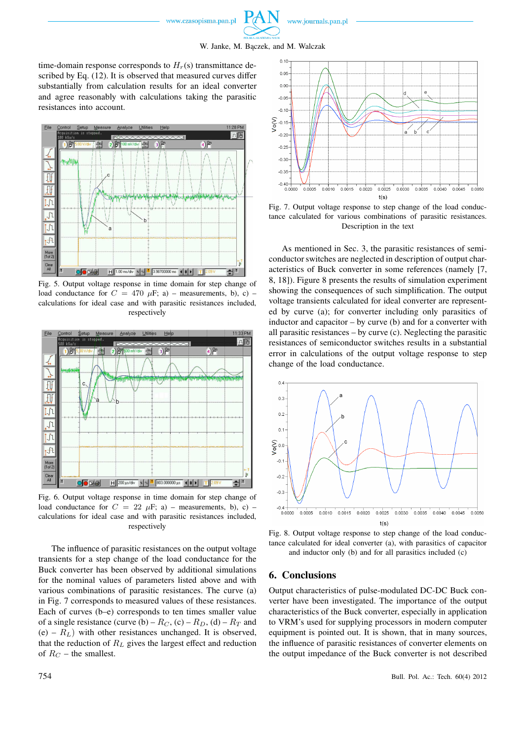www.journals.pan.pl



time-domain response corresponds to  $H_r(s)$  transmittance described by Eq. (12). It is observed that measured curves differ substantially from calculation results for an ideal converter and agree reasonably with calculations taking the parasitic resistances into account.



Fig. 5. Output voltage response in time domain for step change of load conductance for  $C = 470 \mu$ F; a) – measurements, b), c) – calculations for ideal case and with parasitic resistances included, respectively



Fig. 6. Output voltage response in time domain for step change of load conductance for  $C = 22 \mu$ F; a) – measurements, b), c) – calculations for ideal case and with parasitic resistances included, respectively

The influence of parasitic resistances on the output voltage transients for a step change of the load conductance for the Buck converter has been observed by additional simulations for the nominal values of parameters listed above and with various combinations of parasitic resistances. The curve (a) in Fig. 7 corresponds to measured values of these resistances. Each of curves (b–e) corresponds to ten times smaller value of a single resistance (curve (b) –  $R_C$ , (c) –  $R_D$ , (d) –  $R_T$  and  $(e) - R_L$ ) with other resistances unchanged. It is observed, that the reduction of  $R_L$  gives the largest effect and reduction of  $R_C$  – the smallest.



Fig. 7. Output voltage response to step change of the load conductance calculated for various combinations of parasitic resistances. Description in the text

As mentioned in Sec. 3, the parasitic resistances of semiconductor switches are neglected in description of output characteristics of Buck converter in some references (namely [7, 8, 18]). Figure 8 presents the results of simulation experiment showing the consequences of such simplification. The output voltage transients calculated for ideal converter are represented by curve (a); for converter including only parasitics of inductor and capacitor – by curve (b) and for a converter with all parasitic resistances  $-$  by curve (c). Neglecting the parasitic resistances of semiconductor switches results in a substantial error in calculations of the output voltage response to step change of the load conductance.



Fig. 8. Output voltage response to step change of the load conductance calculated for ideal converter (a), with parasitics of capacitor and inductor only (b) and for all parasitics included (c)

#### **6. Conclusions**

Output characteristics of pulse-modulated DC-DC Buck converter have been investigated. The importance of the output characteristics of the Buck converter, especially in application to VRM's used for supplying processors in modern computer equipment is pointed out. It is shown, that in many sources, the influence of parasitic resistances of converter elements on the output impedance of the Buck converter is not described